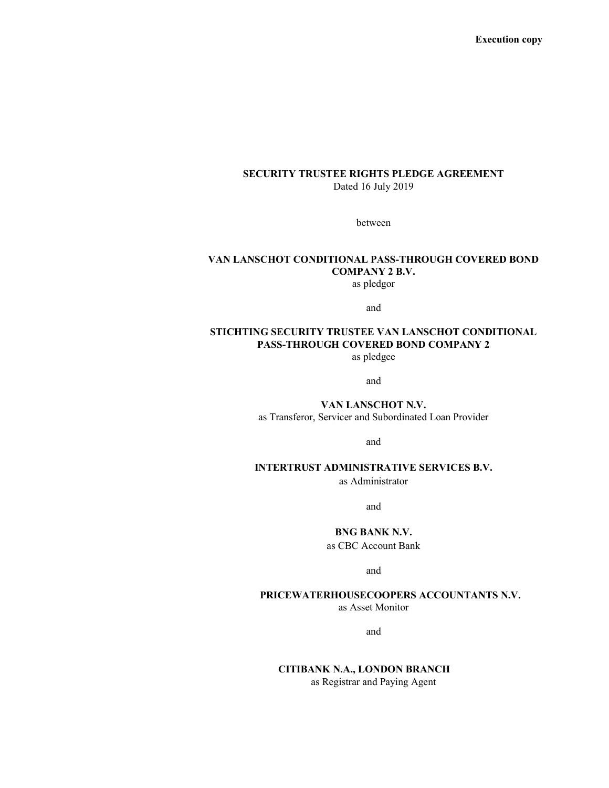Execution copy

#### SECURITY TRUSTEE RIGHTS PLEDGE AGREEMENT Dated 16 July 2019

between

# VAN LANSCHOT CONDITIONAL PASS-THROUGH COVERED BOND COMPANY 2 B.V.

as pledgor

and

# STICHTING SECURITY TRUSTEE VAN LANSCHOT CONDITIONAL PASS-THROUGH COVERED BOND COMPANY 2

as pledgee

and

VAN LANSCHOT N.V. as Transferor, Servicer and Subordinated Loan Provider

and

## INTERTRUST ADMINISTRATIVE SERVICES B.V.

as Administrator

and

#### BNG BANK N.V.

as CBC Account Bank

and

## PRICEWATERHOUSECOOPERS ACCOUNTANTS N.V.

as Asset Monitor

and

### CITIBANK N.A., LONDON BRANCH as Registrar and Paying Agent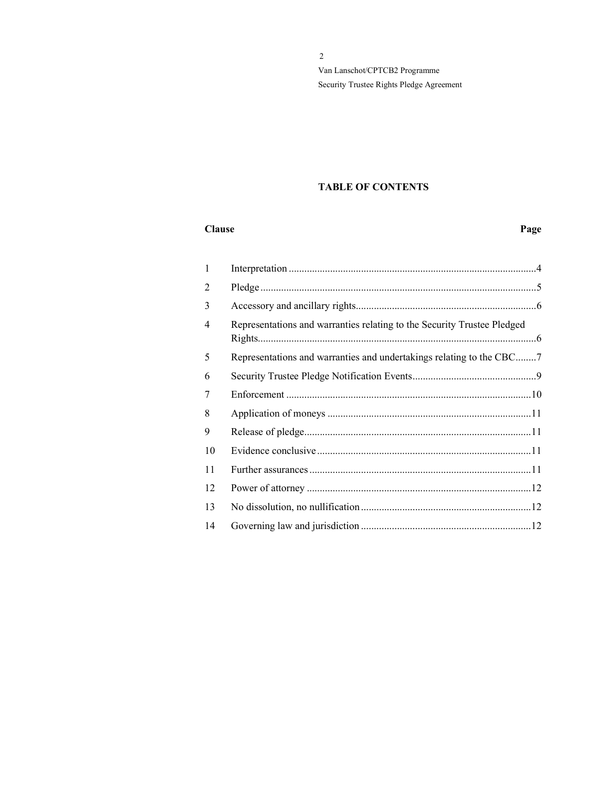## TABLE OF CONTENTS

#### Clause Page

| 1  |                                                                         |
|----|-------------------------------------------------------------------------|
| 2  |                                                                         |
| 3  |                                                                         |
| 4  | Representations and warranties relating to the Security Trustee Pledged |
| 5  | Representations and warranties and undertakings relating to the CBC7    |
| 6  |                                                                         |
| 7  |                                                                         |
| 8  |                                                                         |
| 9  |                                                                         |
| 10 |                                                                         |
| 11 |                                                                         |
| 12 |                                                                         |
| 13 |                                                                         |
| 14 |                                                                         |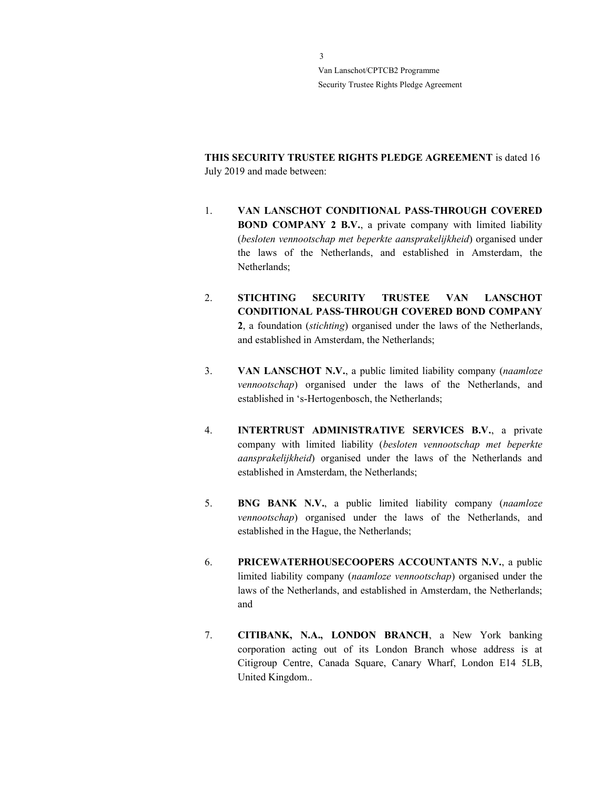THIS SECURITY TRUSTEE RIGHTS PLEDGE AGREEMENT is dated 16 July 2019 and made between:

- 1. VAN LANSCHOT CONDITIONAL PASS-THROUGH COVERED BOND COMPANY 2 B.V., a private company with limited liability (besloten vennootschap met beperkte aansprakelijkheid) organised under the laws of the Netherlands, and established in Amsterdam, the Netherlands;
- 2. STICHTING SECURITY TRUSTEE VAN LANSCHOT CONDITIONAL PASS-THROUGH COVERED BOND COMPANY 2, a foundation (stichting) organised under the laws of the Netherlands, and established in Amsterdam, the Netherlands;
- 3. VAN LANSCHOT N.V., a public limited liability company (naamloze vennootschap) organised under the laws of the Netherlands, and established in 's-Hertogenbosch, the Netherlands;
- 4. INTERTRUST ADMINISTRATIVE SERVICES B.V., a private company with limited liability (besloten vennootschap met beperkte aansprakelijkheid) organised under the laws of the Netherlands and established in Amsterdam, the Netherlands;
- 5. BNG BANK N.V., a public limited liability company (naamloze vennootschap) organised under the laws of the Netherlands, and established in the Hague, the Netherlands;
- 6. PRICEWATERHOUSECOOPERS ACCOUNTANTS N.V., a public limited liability company (naamloze vennootschap) organised under the laws of the Netherlands, and established in Amsterdam, the Netherlands; and
- 7. CITIBANK, N.A., LONDON BRANCH, a New York banking corporation acting out of its London Branch whose address is at Citigroup Centre, Canada Square, Canary Wharf, London E14 5LB, United Kingdom..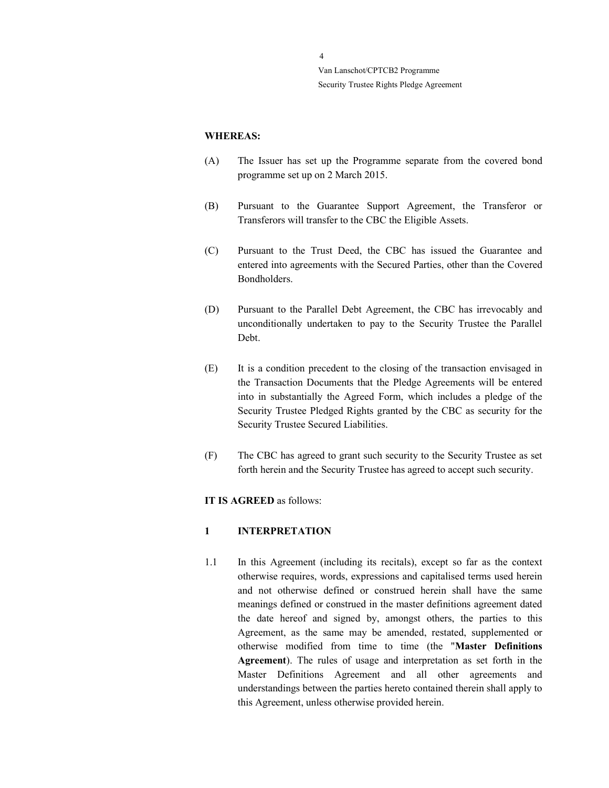#### WHEREAS:

- (A) The Issuer has set up the Programme separate from the covered bond programme set up on 2 March 2015.
- (B) Pursuant to the Guarantee Support Agreement, the Transferor or Transferors will transfer to the CBC the Eligible Assets.
- (C) Pursuant to the Trust Deed, the CBC has issued the Guarantee and entered into agreements with the Secured Parties, other than the Covered Bondholders.
- (D) Pursuant to the Parallel Debt Agreement, the CBC has irrevocably and unconditionally undertaken to pay to the Security Trustee the Parallel Debt.
- (E) It is a condition precedent to the closing of the transaction envisaged in the Transaction Documents that the Pledge Agreements will be entered into in substantially the Agreed Form, which includes a pledge of the Security Trustee Pledged Rights granted by the CBC as security for the Security Trustee Secured Liabilities.
- (F) The CBC has agreed to grant such security to the Security Trustee as set forth herein and the Security Trustee has agreed to accept such security.

#### IT IS AGREED as follows:

## 1 INTERPRETATION

1.1 In this Agreement (including its recitals), except so far as the context otherwise requires, words, expressions and capitalised terms used herein and not otherwise defined or construed herein shall have the same meanings defined or construed in the master definitions agreement dated the date hereof and signed by, amongst others, the parties to this Agreement, as the same may be amended, restated, supplemented or otherwise modified from time to time (the "Master Definitions Agreement). The rules of usage and interpretation as set forth in the Master Definitions Agreement and all other agreements and understandings between the parties hereto contained therein shall apply to this Agreement, unless otherwise provided herein.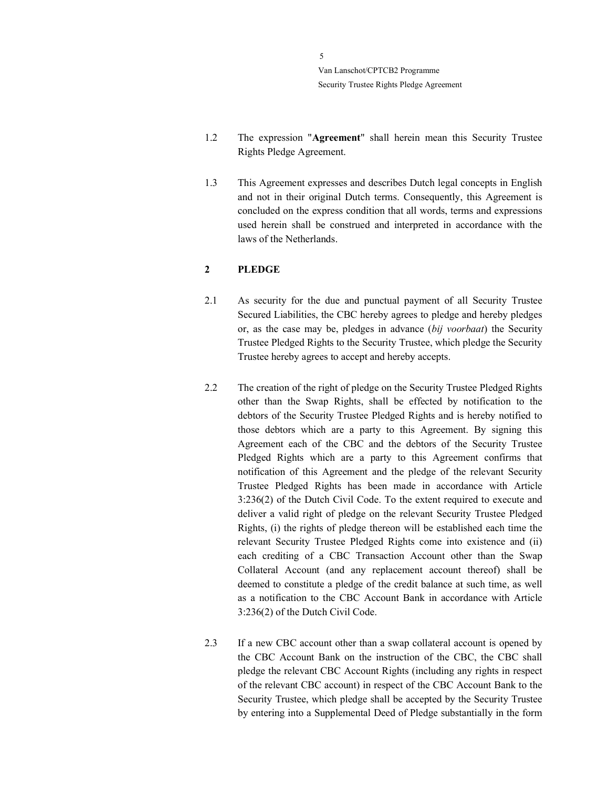$\overline{\phantom{a}}$ Van Lanschot/CPTCB2 Programme Security Trustee Rights Pledge Agreement

- 1.2 The expression "Agreement" shall herein mean this Security Trustee Rights Pledge Agreement.
- 1.3 This Agreement expresses and describes Dutch legal concepts in English and not in their original Dutch terms. Consequently, this Agreement is concluded on the express condition that all words, terms and expressions used herein shall be construed and interpreted in accordance with the laws of the Netherlands.

## 2 PLEDGE

- 2.1 As security for the due and punctual payment of all Security Trustee Secured Liabilities, the CBC hereby agrees to pledge and hereby pledges or, as the case may be, pledges in advance (bij voorbaat) the Security Trustee Pledged Rights to the Security Trustee, which pledge the Security Trustee hereby agrees to accept and hereby accepts.
- 2.2 The creation of the right of pledge on the Security Trustee Pledged Rights other than the Swap Rights, shall be effected by notification to the debtors of the Security Trustee Pledged Rights and is hereby notified to those debtors which are a party to this Agreement. By signing this Agreement each of the CBC and the debtors of the Security Trustee Pledged Rights which are a party to this Agreement confirms that notification of this Agreement and the pledge of the relevant Security Trustee Pledged Rights has been made in accordance with Article 3:236(2) of the Dutch Civil Code. To the extent required to execute and deliver a valid right of pledge on the relevant Security Trustee Pledged Rights, (i) the rights of pledge thereon will be established each time the relevant Security Trustee Pledged Rights come into existence and (ii) each crediting of a CBC Transaction Account other than the Swap Collateral Account (and any replacement account thereof) shall be deemed to constitute a pledge of the credit balance at such time, as well as a notification to the CBC Account Bank in accordance with Article 3:236(2) of the Dutch Civil Code.
- 2.3 If a new CBC account other than a swap collateral account is opened by the CBC Account Bank on the instruction of the CBC, the CBC shall pledge the relevant CBC Account Rights (including any rights in respect of the relevant CBC account) in respect of the CBC Account Bank to the Security Trustee, which pledge shall be accepted by the Security Trustee by entering into a Supplemental Deed of Pledge substantially in the form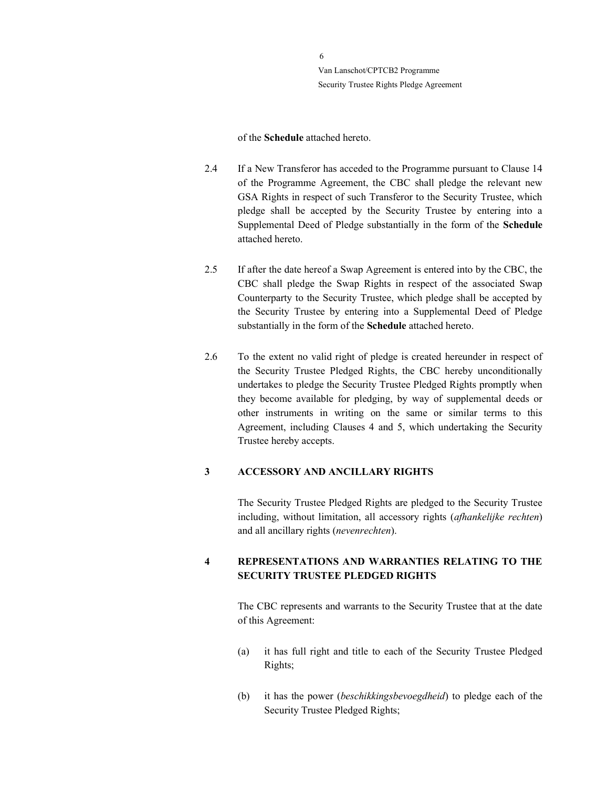of the Schedule attached hereto.

- 2.4 If a New Transferor has acceded to the Programme pursuant to Clause 14 of the Programme Agreement, the CBC shall pledge the relevant new GSA Rights in respect of such Transferor to the Security Trustee, which pledge shall be accepted by the Security Trustee by entering into a Supplemental Deed of Pledge substantially in the form of the Schedule attached hereto.
- 2.5 If after the date hereof a Swap Agreement is entered into by the CBC, the CBC shall pledge the Swap Rights in respect of the associated Swap Counterparty to the Security Trustee, which pledge shall be accepted by the Security Trustee by entering into a Supplemental Deed of Pledge substantially in the form of the Schedule attached hereto.
- 2.6 To the extent no valid right of pledge is created hereunder in respect of the Security Trustee Pledged Rights, the CBC hereby unconditionally undertakes to pledge the Security Trustee Pledged Rights promptly when they become available for pledging, by way of supplemental deeds or other instruments in writing on the same or similar terms to this Agreement, including Clauses 4 and 5, which undertaking the Security Trustee hereby accepts.

## 3 ACCESSORY AND ANCILLARY RIGHTS

The Security Trustee Pledged Rights are pledged to the Security Trustee including, without limitation, all accessory rights (afhankelijke rechten) and all ancillary rights (nevenrechten).

## 4 REPRESENTATIONS AND WARRANTIES RELATING TO THE SECURITY TRUSTEE PLEDGED RIGHTS

The CBC represents and warrants to the Security Trustee that at the date of this Agreement:

- (a) it has full right and title to each of the Security Trustee Pledged Rights;
- (b) it has the power (beschikkingsbevoegdheid) to pledge each of the Security Trustee Pledged Rights;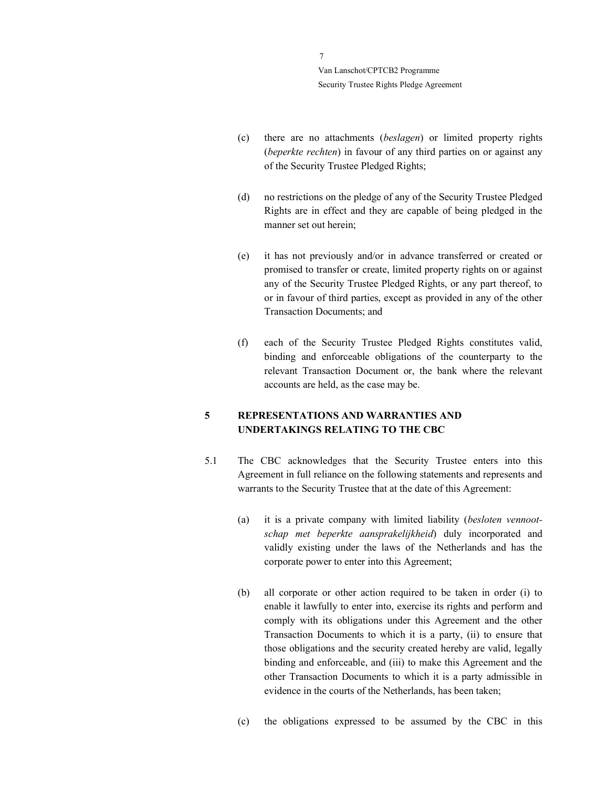- (c) there are no attachments (beslagen) or limited property rights (beperkte rechten) in favour of any third parties on or against any of the Security Trustee Pledged Rights;
- (d) no restrictions on the pledge of any of the Security Trustee Pledged Rights are in effect and they are capable of being pledged in the manner set out herein;
- (e) it has not previously and/or in advance transferred or created or promised to transfer or create, limited property rights on or against any of the Security Trustee Pledged Rights, or any part thereof, to or in favour of third parties, except as provided in any of the other Transaction Documents; and
- (f) each of the Security Trustee Pledged Rights constitutes valid, binding and enforceable obligations of the counterparty to the relevant Transaction Document or, the bank where the relevant accounts are held, as the case may be.

## 5 REPRESENTATIONS AND WARRANTIES AND UNDERTAKINGS RELATING TO THE CBC

- 5.1 The CBC acknowledges that the Security Trustee enters into this Agreement in full reliance on the following statements and represents and warrants to the Security Trustee that at the date of this Agreement:
	- (a) it is a private company with limited liability (besloten vennootschap met beperkte aansprakelijkheid) duly incorporated and validly existing under the laws of the Netherlands and has the corporate power to enter into this Agreement;
	- (b) all corporate or other action required to be taken in order (i) to enable it lawfully to enter into, exercise its rights and perform and comply with its obligations under this Agreement and the other Transaction Documents to which it is a party, (ii) to ensure that those obligations and the security created hereby are valid, legally binding and enforceable, and (iii) to make this Agreement and the other Transaction Documents to which it is a party admissible in evidence in the courts of the Netherlands, has been taken;
	- (c) the obligations expressed to be assumed by the CBC in this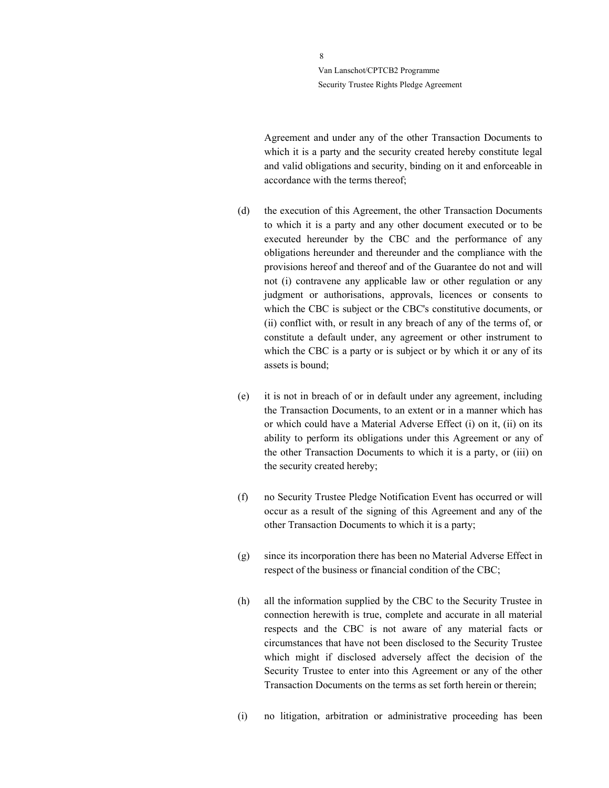> Agreement and under any of the other Transaction Documents to which it is a party and the security created hereby constitute legal and valid obligations and security, binding on it and enforceable in accordance with the terms thereof;

- (d) the execution of this Agreement, the other Transaction Documents to which it is a party and any other document executed or to be executed hereunder by the CBC and the performance of any obligations hereunder and thereunder and the compliance with the provisions hereof and thereof and of the Guarantee do not and will not (i) contravene any applicable law or other regulation or any judgment or authorisations, approvals, licences or consents to which the CBC is subject or the CBC's constitutive documents, or (ii) conflict with, or result in any breach of any of the terms of, or constitute a default under, any agreement or other instrument to which the CBC is a party or is subject or by which it or any of its assets is bound;
- (e) it is not in breach of or in default under any agreement, including the Transaction Documents, to an extent or in a manner which has or which could have a Material Adverse Effect (i) on it, (ii) on its ability to perform its obligations under this Agreement or any of the other Transaction Documents to which it is a party, or (iii) on the security created hereby;
- (f) no Security Trustee Pledge Notification Event has occurred or will occur as a result of the signing of this Agreement and any of the other Transaction Documents to which it is a party;
- (g) since its incorporation there has been no Material Adverse Effect in respect of the business or financial condition of the CBC;
- (h) all the information supplied by the CBC to the Security Trustee in connection herewith is true, complete and accurate in all material respects and the CBC is not aware of any material facts or circumstances that have not been disclosed to the Security Trustee which might if disclosed adversely affect the decision of the Security Trustee to enter into this Agreement or any of the other Transaction Documents on the terms as set forth herein or therein;
- (i) no litigation, arbitration or administrative proceeding has been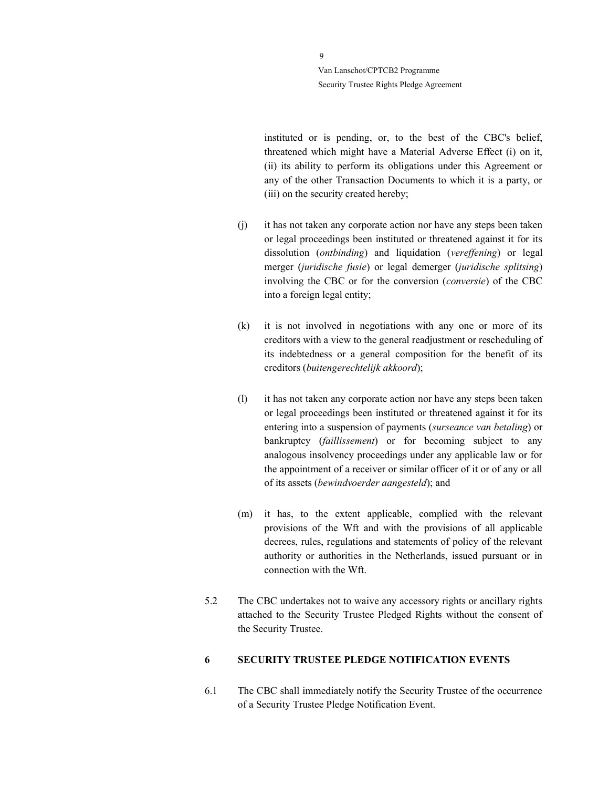> instituted or is pending, or, to the best of the CBC's belief, threatened which might have a Material Adverse Effect (i) on it, (ii) its ability to perform its obligations under this Agreement or any of the other Transaction Documents to which it is a party, or (iii) on the security created hereby;

- (j) it has not taken any corporate action nor have any steps been taken or legal proceedings been instituted or threatened against it for its dissolution (ontbinding) and liquidation (vereffening) or legal merger (juridische fusie) or legal demerger (juridische splitsing) involving the CBC or for the conversion (conversie) of the CBC into a foreign legal entity;
- (k) it is not involved in negotiations with any one or more of its creditors with a view to the general readjustment or rescheduling of its indebtedness or a general composition for the benefit of its creditors (buitengerechtelijk akkoord);
- (l) it has not taken any corporate action nor have any steps been taken or legal proceedings been instituted or threatened against it for its entering into a suspension of payments (surseance van betaling) or bankruptcy (faillissement) or for becoming subject to any analogous insolvency proceedings under any applicable law or for the appointment of a receiver or similar officer of it or of any or all of its assets (bewindvoerder aangesteld); and
- (m) it has, to the extent applicable, complied with the relevant provisions of the Wft and with the provisions of all applicable decrees, rules, regulations and statements of policy of the relevant authority or authorities in the Netherlands, issued pursuant or in connection with the Wft.
- 5.2 The CBC undertakes not to waive any accessory rights or ancillary rights attached to the Security Trustee Pledged Rights without the consent of the Security Trustee.

## 6 SECURITY TRUSTEE PLEDGE NOTIFICATION EVENTS

6.1 The CBC shall immediately notify the Security Trustee of the occurrence of a Security Trustee Pledge Notification Event.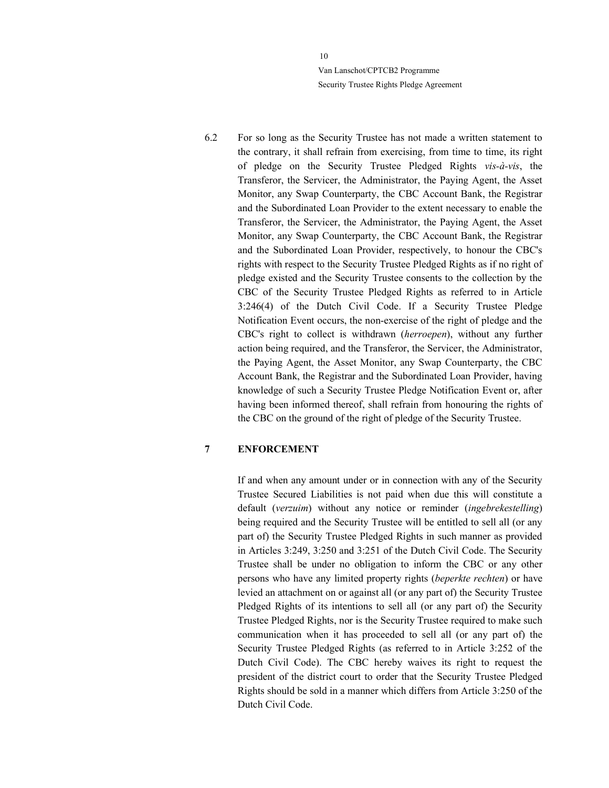6.2 For so long as the Security Trustee has not made a written statement to the contrary, it shall refrain from exercising, from time to time, its right of pledge on the Security Trustee Pledged Rights vis-à-vis, the Transferor, the Servicer, the Administrator, the Paying Agent, the Asset Monitor, any Swap Counterparty, the CBC Account Bank, the Registrar and the Subordinated Loan Provider to the extent necessary to enable the Transferor, the Servicer, the Administrator, the Paying Agent, the Asset Monitor, any Swap Counterparty, the CBC Account Bank, the Registrar and the Subordinated Loan Provider, respectively, to honour the CBC's rights with respect to the Security Trustee Pledged Rights as if no right of pledge existed and the Security Trustee consents to the collection by the CBC of the Security Trustee Pledged Rights as referred to in Article 3:246(4) of the Dutch Civil Code. If a Security Trustee Pledge Notification Event occurs, the non-exercise of the right of pledge and the CBC's right to collect is withdrawn (herroepen), without any further action being required, and the Transferor, the Servicer, the Administrator, the Paying Agent, the Asset Monitor, any Swap Counterparty, the CBC Account Bank, the Registrar and the Subordinated Loan Provider, having knowledge of such a Security Trustee Pledge Notification Event or, after having been informed thereof, shall refrain from honouring the rights of the CBC on the ground of the right of pledge of the Security Trustee.

#### 7 ENFORCEMENT

If and when any amount under or in connection with any of the Security Trustee Secured Liabilities is not paid when due this will constitute a default (verzuim) without any notice or reminder (ingebrekestelling) being required and the Security Trustee will be entitled to sell all (or any part of) the Security Trustee Pledged Rights in such manner as provided in Articles 3:249, 3:250 and 3:251 of the Dutch Civil Code. The Security Trustee shall be under no obligation to inform the CBC or any other persons who have any limited property rights (beperkte rechten) or have levied an attachment on or against all (or any part of) the Security Trustee Pledged Rights of its intentions to sell all (or any part of) the Security Trustee Pledged Rights, nor is the Security Trustee required to make such communication when it has proceeded to sell all (or any part of) the Security Trustee Pledged Rights (as referred to in Article 3:252 of the Dutch Civil Code). The CBC hereby waives its right to request the president of the district court to order that the Security Trustee Pledged Rights should be sold in a manner which differs from Article 3:250 of the Dutch Civil Code.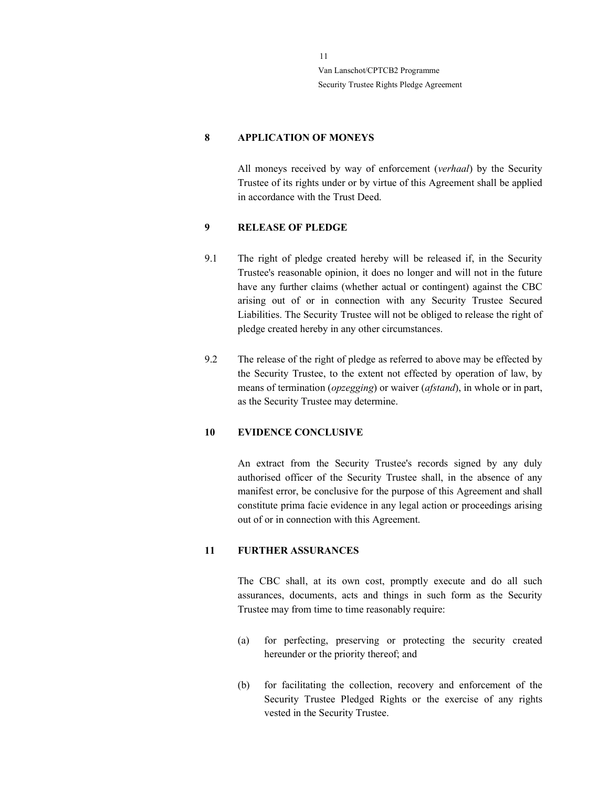## 8 APPLICATION OF MONEYS

All moneys received by way of enforcement (verhaal) by the Security Trustee of its rights under or by virtue of this Agreement shall be applied in accordance with the Trust Deed.

#### 9 RELEASE OF PLEDGE

- 9.1 The right of pledge created hereby will be released if, in the Security Trustee's reasonable opinion, it does no longer and will not in the future have any further claims (whether actual or contingent) against the CBC arising out of or in connection with any Security Trustee Secured Liabilities. The Security Trustee will not be obliged to release the right of pledge created hereby in any other circumstances.
- 9.2 The release of the right of pledge as referred to above may be effected by the Security Trustee, to the extent not effected by operation of law, by means of termination (opzegging) or waiver (afstand), in whole or in part, as the Security Trustee may determine.

## 10 EVIDENCE CONCLUSIVE

An extract from the Security Trustee's records signed by any duly authorised officer of the Security Trustee shall, in the absence of any manifest error, be conclusive for the purpose of this Agreement and shall constitute prima facie evidence in any legal action or proceedings arising out of or in connection with this Agreement.

#### 11 FURTHER ASSURANCES

The CBC shall, at its own cost, promptly execute and do all such assurances, documents, acts and things in such form as the Security Trustee may from time to time reasonably require:

- (a) for perfecting, preserving or protecting the security created hereunder or the priority thereof; and
- (b) for facilitating the collection, recovery and enforcement of the Security Trustee Pledged Rights or the exercise of any rights vested in the Security Trustee.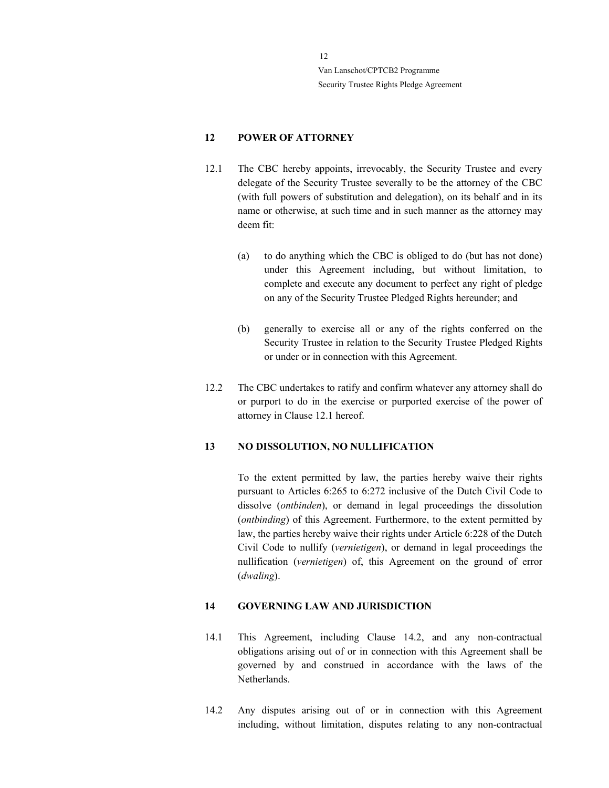# 12 POWER OF ATTORNEY

- 12.1 The CBC hereby appoints, irrevocably, the Security Trustee and every delegate of the Security Trustee severally to be the attorney of the CBC (with full powers of substitution and delegation), on its behalf and in its name or otherwise, at such time and in such manner as the attorney may deem fit:
	- (a) to do anything which the CBC is obliged to do (but has not done) under this Agreement including, but without limitation, to complete and execute any document to perfect any right of pledge on any of the Security Trustee Pledged Rights hereunder; and
	- (b) generally to exercise all or any of the rights conferred on the Security Trustee in relation to the Security Trustee Pledged Rights or under or in connection with this Agreement.
- 12.2 The CBC undertakes to ratify and confirm whatever any attorney shall do or purport to do in the exercise or purported exercise of the power of attorney in Clause 12.1 hereof.

#### 13 NO DISSOLUTION, NO NULLIFICATION

To the extent permitted by law, the parties hereby waive their rights pursuant to Articles 6:265 to 6:272 inclusive of the Dutch Civil Code to dissolve (ontbinden), or demand in legal proceedings the dissolution (ontbinding) of this Agreement. Furthermore, to the extent permitted by law, the parties hereby waive their rights under Article 6:228 of the Dutch Civil Code to nullify (vernietigen), or demand in legal proceedings the nullification (vernietigen) of, this Agreement on the ground of error (dwaling).

#### 14 GOVERNING LAW AND JURISDICTION

- 14.1 This Agreement, including Clause 14.2, and any non-contractual obligations arising out of or in connection with this Agreement shall be governed by and construed in accordance with the laws of the Netherlands.
- 14.2 Any disputes arising out of or in connection with this Agreement including, without limitation, disputes relating to any non-contractual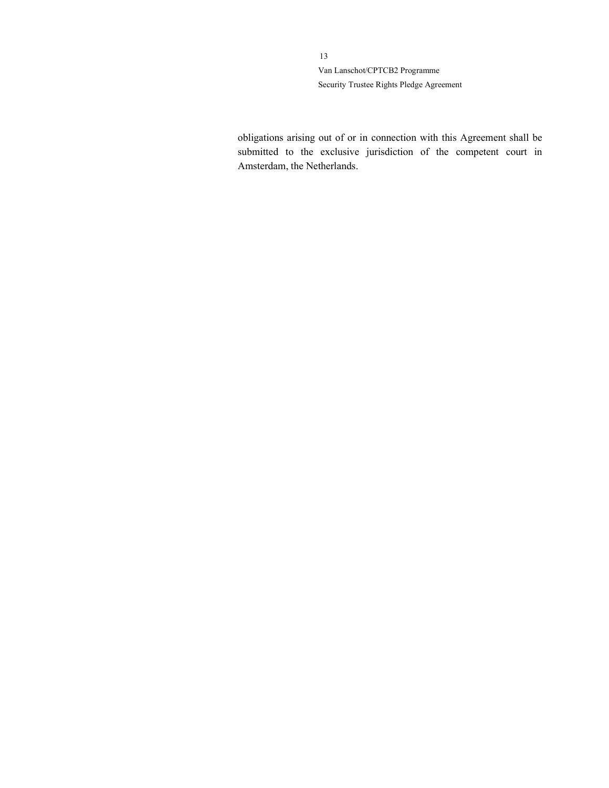> obligations arising out of or in connection with this Agreement shall be submitted to the exclusive jurisdiction of the competent court in Amsterdam, the Netherlands.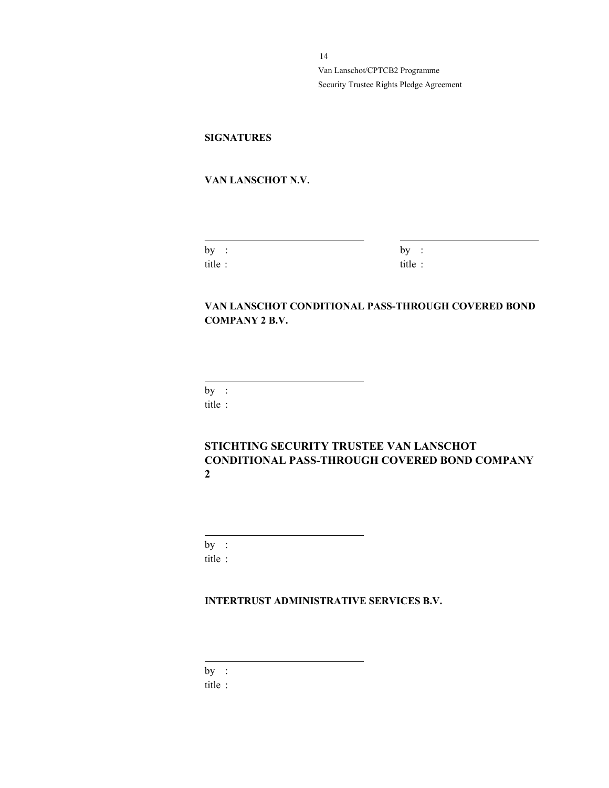# **SIGNATURES**

## VAN LANSCHOT N.V.

| by    |  |
|-------|--|
| title |  |

 $\overline{a}$ 

 $by :$ title :

# VAN LANSCHOT CONDITIONAL PASS-THROUGH COVERED BOND COMPANY 2 B.V.

 $by:$ 

 $\overline{a}$ 

title :

# STICHTING SECURITY TRUSTEE VAN LANSCHOT CONDITIONAL PASS-THROUGH COVERED BOND COMPANY 2

by : title :

 $\overline{a}$ 

## INTERTRUST ADMINISTRATIVE SERVICES B.V.

by :

 $\overline{a}$ 

title :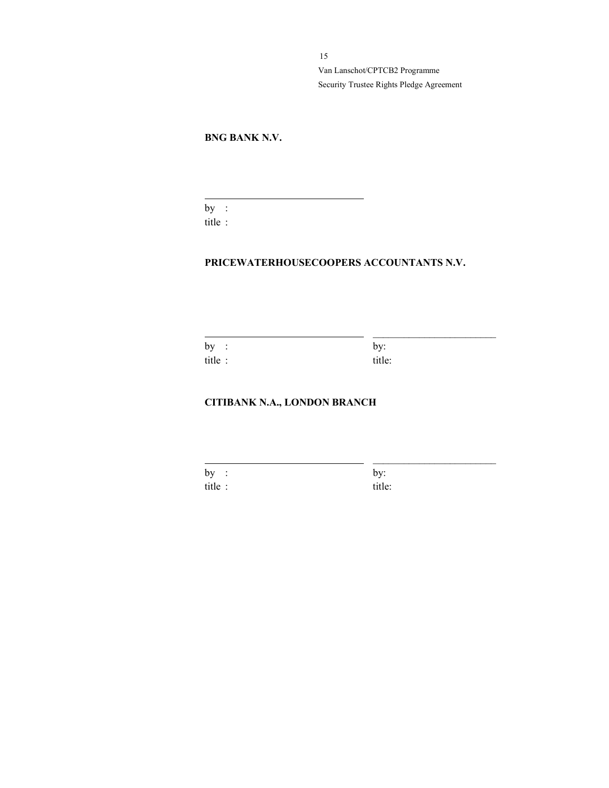# BNG BANK N.V.

by : title :

 $\overline{a}$ 

# PRICEWATERHOUSECOOPERS ACCOUNTANTS N.V.

\_\_\_\_\_\_\_\_\_\_\_\_\_\_\_\_\_\_\_\_\_\_\_\_

\_\_\_\_\_\_\_\_\_\_\_\_\_\_\_\_\_\_\_\_\_\_\_\_

by : by: title : title:

## CITIBANK N.A., LONDON BRANCH

by : by: title : title: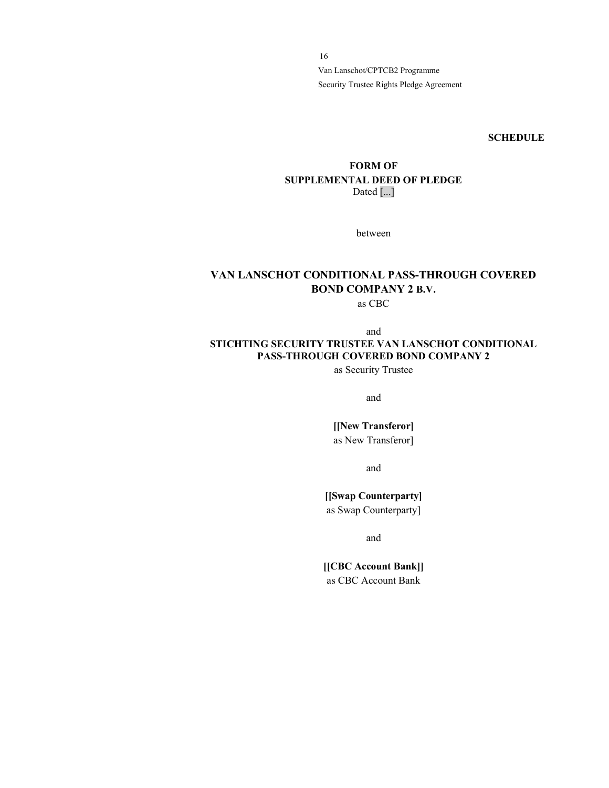**SCHEDULE** 

## FORM OF SUPPLEMENTAL DEED OF PLEDGE Dated [...]

between

# VAN LANSCHOT CONDITIONAL PASS-THROUGH COVERED BOND COMPANY 2 B.V.

as CBC

and

# STICHTING SECURITY TRUSTEE VAN LANSCHOT CONDITIONAL PASS-THROUGH COVERED BOND COMPANY 2

as Security Trustee

and

[[New Transferor] as New Transferor]

and

[[Swap Counterparty] as Swap Counterparty]

and

[[CBC Account Bank]] as CBC Account Bank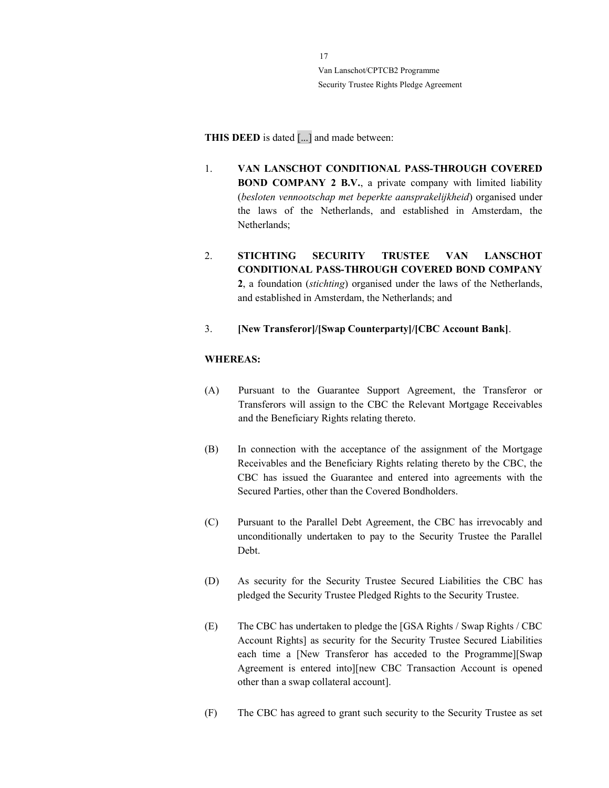THIS DEED is dated [...] and made between:

- 1. VAN LANSCHOT CONDITIONAL PASS-THROUGH COVERED BOND COMPANY 2 B.V., a private company with limited liability (besloten vennootschap met beperkte aansprakelijkheid) organised under the laws of the Netherlands, and established in Amsterdam, the Netherlands;
- 2. STICHTING SECURITY TRUSTEE VAN LANSCHOT CONDITIONAL PASS-THROUGH COVERED BOND COMPANY 2, a foundation (stichting) organised under the laws of the Netherlands, and established in Amsterdam, the Netherlands; and
- 3. [New Transferor]/[Swap Counterparty]/[CBC Account Bank].

## WHEREAS:

- (A) Pursuant to the Guarantee Support Agreement, the Transferor or Transferors will assign to the CBC the Relevant Mortgage Receivables and the Beneficiary Rights relating thereto.
- (B) In connection with the acceptance of the assignment of the Mortgage Receivables and the Beneficiary Rights relating thereto by the CBC, the CBC has issued the Guarantee and entered into agreements with the Secured Parties, other than the Covered Bondholders.
- (C) Pursuant to the Parallel Debt Agreement, the CBC has irrevocably and unconditionally undertaken to pay to the Security Trustee the Parallel Debt.
- (D) As security for the Security Trustee Secured Liabilities the CBC has pledged the Security Trustee Pledged Rights to the Security Trustee.
- (E) The CBC has undertaken to pledge the [GSA Rights / Swap Rights / CBC Account Rights] as security for the Security Trustee Secured Liabilities each time a [New Transferor has acceded to the Programme][Swap Agreement is entered into][new CBC Transaction Account is opened other than a swap collateral account].
- (F) The CBC has agreed to grant such security to the Security Trustee as set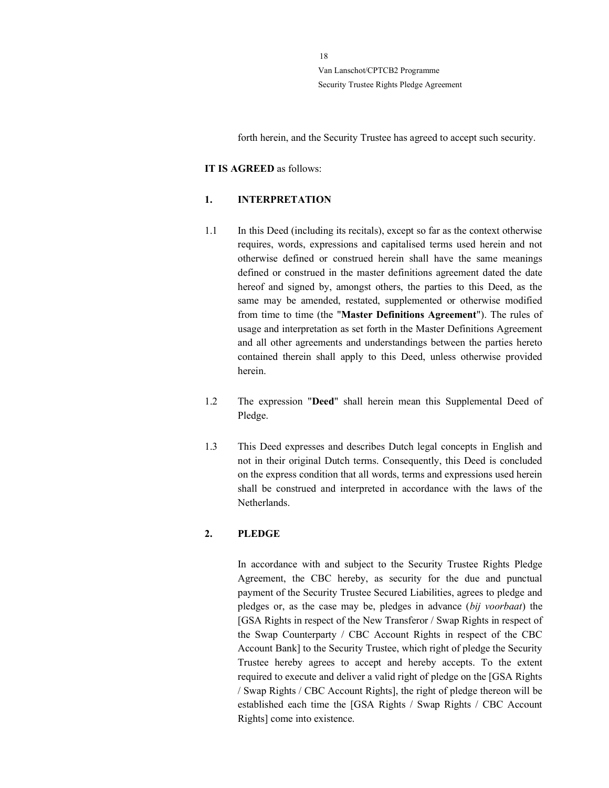forth herein, and the Security Trustee has agreed to accept such security.

#### IT IS AGREED as follows:

## 1. INTERPRETATION

- 1.1 In this Deed (including its recitals), except so far as the context otherwise requires, words, expressions and capitalised terms used herein and not otherwise defined or construed herein shall have the same meanings defined or construed in the master definitions agreement dated the date hereof and signed by, amongst others, the parties to this Deed, as the same may be amended, restated, supplemented or otherwise modified from time to time (the "Master Definitions Agreement"). The rules of usage and interpretation as set forth in the Master Definitions Agreement and all other agreements and understandings between the parties hereto contained therein shall apply to this Deed, unless otherwise provided herein.
- 1.2 The expression "Deed" shall herein mean this Supplemental Deed of Pledge.
- 1.3 This Deed expresses and describes Dutch legal concepts in English and not in their original Dutch terms. Consequently, this Deed is concluded on the express condition that all words, terms and expressions used herein shall be construed and interpreted in accordance with the laws of the Netherlands.

#### 2. PLEDGE

In accordance with and subject to the Security Trustee Rights Pledge Agreement, the CBC hereby, as security for the due and punctual payment of the Security Trustee Secured Liabilities, agrees to pledge and pledges or, as the case may be, pledges in advance (bij voorbaat) the [GSA Rights in respect of the New Transferor / Swap Rights in respect of the Swap Counterparty / CBC Account Rights in respect of the CBC Account Bank] to the Security Trustee, which right of pledge the Security Trustee hereby agrees to accept and hereby accepts. To the extent required to execute and deliver a valid right of pledge on the [GSA Rights / Swap Rights / CBC Account Rights], the right of pledge thereon will be established each time the [GSA Rights / Swap Rights / CBC Account Rights] come into existence.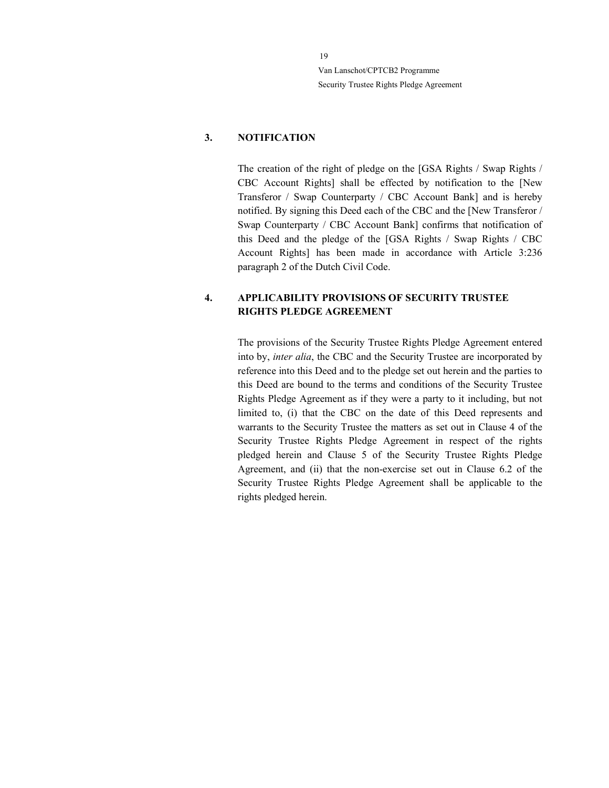## 3. NOTIFICATION

The creation of the right of pledge on the [GSA Rights / Swap Rights / CBC Account Rights] shall be effected by notification to the [New Transferor / Swap Counterparty / CBC Account Bank] and is hereby notified. By signing this Deed each of the CBC and the [New Transferor / Swap Counterparty / CBC Account Bank] confirms that notification of this Deed and the pledge of the [GSA Rights / Swap Rights / CBC Account Rights] has been made in accordance with Article 3:236 paragraph 2 of the Dutch Civil Code.

## 4. APPLICABILITY PROVISIONS OF SECURITY TRUSTEE RIGHTS PLEDGE AGREEMENT

The provisions of the Security Trustee Rights Pledge Agreement entered into by, inter alia, the CBC and the Security Trustee are incorporated by reference into this Deed and to the pledge set out herein and the parties to this Deed are bound to the terms and conditions of the Security Trustee Rights Pledge Agreement as if they were a party to it including, but not limited to, (i) that the CBC on the date of this Deed represents and warrants to the Security Trustee the matters as set out in Clause 4 of the Security Trustee Rights Pledge Agreement in respect of the rights pledged herein and Clause 5 of the Security Trustee Rights Pledge Agreement, and (ii) that the non-exercise set out in Clause 6.2 of the Security Trustee Rights Pledge Agreement shall be applicable to the rights pledged herein.